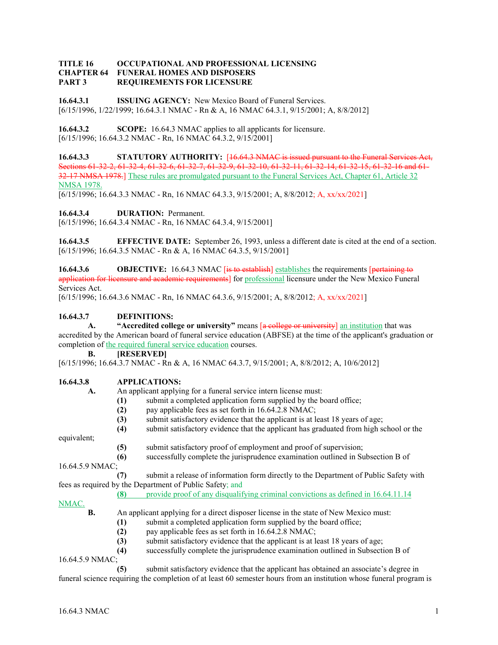#### **TITLE 16 OCCUPATIONAL AND PROFESSIONAL LICENSING CHAPTER 64 FUNERAL HOMES AND DISPOSERS PART 3 REQUIREMENTS FOR LICENSURE**

**16.64.3.1 ISSUING AGENCY:** New Mexico Board of Funeral Services. [6/15/1996, 1/22/1999; 16.64.3.1 NMAC - Rn & A, 16 NMAC 64.3.1, 9/15/2001; A, 8/8/2012]

**16.64.3.2 SCOPE:** 16.64.3 NMAC applies to all applicants for licensure. [6/15/1996; 16.64.3.2 NMAC - Rn, 16 NMAC 64.3.2, 9/15/2001]

**16.64.3.3 STATUTORY AUTHORITY:** [16.64.3 NMAC is issued pursuant to the Funeral Services Act, Sections 61-32-2, 61-32-4, 61-32-6, 61-32-7, 61-32-9, 61-32-10, 61-32-11, 61-32-14, 61-32-15, 61-32-16 and 61-32-17 NMSA 1978.] These rules are promulgated pursuant to the Funeral Services Act, Chapter 61, Article 32 NMSA 1978.

[6/15/1996; 16.64.3.3 NMAC - Rn, 16 NMAC 64.3.3, 9/15/2001; A, 8/8/2012; A, xx/xx/2021]

**16.64.3.4 DURATION:** Permanent.

[6/15/1996; 16.64.3.4 NMAC - Rn, 16 NMAC 64.3.4, 9/15/2001]

**16.64.3.5 EFFECTIVE DATE:** September 26, 1993, unless a different date is cited at the end of a section. [6/15/1996; 16.64.3.5 NMAC - Rn & A, 16 NMAC 64.3.5, 9/15/2001]

**16.64.3.6 OBJECTIVE:** 16.64.3 NMAC [is to establish] establishes the requirements [pertaining to application for licensure and academic requirements] for professional licensure under the New Mexico Funeral Services Act.

[6/15/1996; 16.64.3.6 NMAC - Rn, 16 NMAC 64.3.6, 9/15/2001; A, 8/8/2012; A, xx/xx/2021]

## **16.64.3.7 DEFINITIONS:**

**A. "Accredited college or university"** means [a college or university] an institution that was accredited by the American board of funeral service education (ABFSE) at the time of the applicant's graduation or completion of the required funeral service education courses.

**B. [RESERVED]**

[6/15/1996; 16.64.3.7 NMAC - Rn & A, 16 NMAC 64.3.7, 9/15/2001; A, 8/8/2012; A, 10/6/2012]

## **16.64.3.8 APPLICATIONS:**

**A.** An applicant applying for a funeral service intern license must:

- **(1)** submit a completed application form supplied by the board office;
- **(2)** pay applicable fees as set forth in 16.64.2.8 NMAC;
- **(3)** submit satisfactory evidence that the applicant is at least 18 years of age;
- **(4)** submit satisfactory evidence that the applicant has graduated from high school or the

equivalent;

- **(5)** submit satisfactory proof of employment and proof of supervision;
- **(6)** successfully complete the jurisprudence examination outlined in Subsection B of

16.64.5.9 NMAC;

**(7)** submit a release of information form directly to the Department of Public Safety with fees as required by the Department of Public Safety; and

#### **(8)** provide proof of any disqualifying criminal convictions as defined in 16.64.11.14

#### NMAC.

# **B.** An applicant applying for a direct disposer license in the state of New Mexico must:

- **(1)** submit a completed application form supplied by the board office;
- **(2)** pay applicable fees as set forth in 16.64.2.8 NMAC;
- **(3)** submit satisfactory evidence that the applicant is at least 18 years of age;
- **(4)** successfully complete the jurisprudence examination outlined in Subsection B of

16.64.5.9 NMAC;

**(5)** submit satisfactory evidence that the applicant has obtained an associate's degree in

funeral science requiring the completion of at least 60 semester hours from an institution whose funeral program is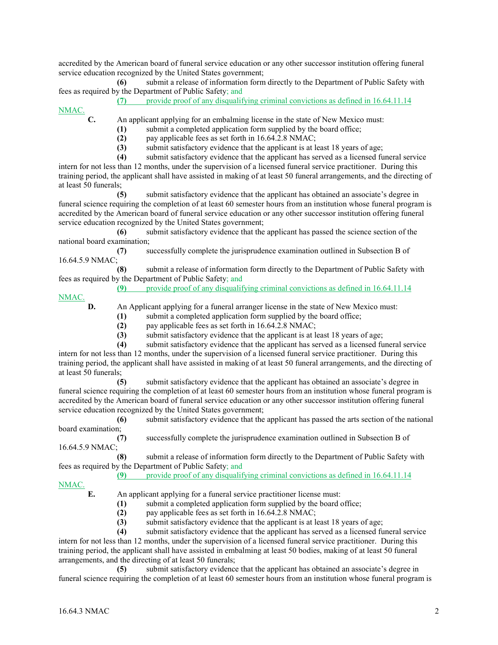accredited by the American board of funeral service education or any other successor institution offering funeral service education recognized by the United States government;

**(6)** submit a release of information form directly to the Department of Public Safety with fees as required by the Department of Public Safety; and

**(7)** provide proof of any disqualifying criminal convictions as defined in 16.64.11.14

NMAC.

**C.** An applicant applying for an embalming license in the state of New Mexico must:

- **(1)** submit a completed application form supplied by the board office;
- **(2)** pay applicable fees as set forth in 16.64.2.8 NMAC;
- **(3)** submit satisfactory evidence that the applicant is at least 18 years of age;

**(4)** submit satisfactory evidence that the applicant has served as a licensed funeral service

intern for not less than 12 months, under the supervision of a licensed funeral service practitioner. During this training period, the applicant shall have assisted in making of at least 50 funeral arrangements, and the directing of at least 50 funerals;

**(5)** submit satisfactory evidence that the applicant has obtained an associate's degree in funeral science requiring the completion of at least 60 semester hours from an institution whose funeral program is accredited by the American board of funeral service education or any other successor institution offering funeral service education recognized by the United States government;

**(6)** submit satisfactory evidence that the applicant has passed the science section of the national board examination;

**(7)** successfully complete the jurisprudence examination outlined in Subsection B of 16.64.5.9 NMAC;

**(8)** submit a release of information form directly to the Department of Public Safety with fees as required by the Department of Public Safety; and

**(9)** provide proof of any disqualifying criminal convictions as defined in 16.64.11.14

NMAC.

**D.** An Applicant applying for a funeral arranger license in the state of New Mexico must:

**(1)** submit a completed application form supplied by the board office;

**(2)** pay applicable fees as set forth in 16.64.2.8 NMAC;

**(3)** submit satisfactory evidence that the applicant is at least 18 years of age;

**(4)** submit satisfactory evidence that the applicant has served as a licensed funeral service

intern for not less than 12 months, under the supervision of a licensed funeral service practitioner. During this training period, the applicant shall have assisted in making of at least 50 funeral arrangements, and the directing of at least 50 funerals;

**(5)** submit satisfactory evidence that the applicant has obtained an associate's degree in funeral science requiring the completion of at least 60 semester hours from an institution whose funeral program is accredited by the American board of funeral service education or any other successor institution offering funeral service education recognized by the United States government;

**(6)** submit satisfactory evidence that the applicant has passed the arts section of the national board examination;

**(7)** successfully complete the jurisprudence examination outlined in Subsection B of 16.64.5.9 NMAC;

**(8)** submit a release of information form directly to the Department of Public Safety with fees as required by the Department of Public Safety; and

**(9)** provide proof of any disqualifying criminal convictions as defined in 16.64.11.14

NMAC.

**E.** An applicant applying for a funeral service practitioner license must:

- **(1)** submit a completed application form supplied by the board office;
- **(2)** pay applicable fees as set forth in 16.64.2.8 NMAC;

**(3)** submit satisfactory evidence that the applicant is at least 18 years of age;

**(4)** submit satisfactory evidence that the applicant has served as a licensed funeral service intern for not less than 12 months, under the supervision of a licensed funeral service practitioner. During this

training period, the applicant shall have assisted in embalming at least 50 bodies, making of at least 50 funeral arrangements, and the directing of at least 50 funerals;

**(5)** submit satisfactory evidence that the applicant has obtained an associate's degree in funeral science requiring the completion of at least 60 semester hours from an institution whose funeral program is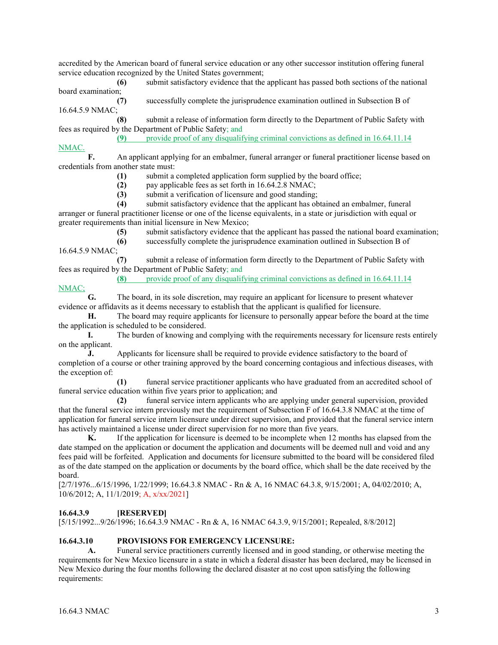accredited by the American board of funeral service education or any other successor institution offering funeral service education recognized by the United States government;

**(6)** submit satisfactory evidence that the applicant has passed both sections of the national board examination;

**(7)** successfully complete the jurisprudence examination outlined in Subsection B of 16.64.5.9 NMAC;

**(8)** submit a release of information form directly to the Department of Public Safety with fees as required by the Department of Public Safety; and

**(9)** provide proof of any disqualifying criminal convictions as defined in 16.64.11.14

## NMAC.

**F.** An applicant applying for an embalmer, funeral arranger or funeral practitioner license based on credentials from another state must:

**(1)** submit a completed application form supplied by the board office;

**(2)** pay applicable fees as set forth in 16.64.2.8 NMAC;

**(3)** submit a verification of licensure and good standing;

**(4)** submit satisfactory evidence that the applicant has obtained an embalmer, funeral arranger or funeral practitioner license or one of the license equivalents, in a state or jurisdiction with equal or greater requirements than initial licensure in New Mexico;

**(5)** submit satisfactory evidence that the applicant has passed the national board examination;

**(6)** successfully complete the jurisprudence examination outlined in Subsection B of 16.64.5.9 NMAC;

**(7)** submit a release of information form directly to the Department of Public Safety with fees as required by the Department of Public Safety; and

**(8)** provide proof of any disqualifying criminal convictions as defined in 16.64.11.14

NMAC; **G.** The board, in its sole discretion, may require an applicant for licensure to present whatever evidence or affidavits as it deems necessary to establish that the applicant is qualified for licensure.

**H.** The board may require applicants for licensure to personally appear before the board at the time the application is scheduled to be considered.

**I.** The burden of knowing and complying with the requirements necessary for licensure rests entirely on the applicant.

**J.** Applicants for licensure shall be required to provide evidence satisfactory to the board of completion of a course or other training approved by the board concerning contagious and infectious diseases, with the exception of:

**(1)** funeral service practitioner applicants who have graduated from an accredited school of funeral service education within five years prior to application; and

**(2)** funeral service intern applicants who are applying under general supervision, provided that the funeral service intern previously met the requirement of Subsection F of 16.64.3.8 NMAC at the time of application for funeral service intern licensure under direct supervision, and provided that the funeral service intern has actively maintained a license under direct supervision for no more than five years.

**K.** If the application for licensure is deemed to be incomplete when 12 months has elapsed from the date stamped on the application or document the application and documents will be deemed null and void and any fees paid will be forfeited. Application and documents for licensure submitted to the board will be considered filed as of the date stamped on the application or documents by the board office, which shall be the date received by the board.

[2/7/1976...6/15/1996, 1/22/1999; 16.64.3.8 NMAC - Rn & A, 16 NMAC 64.3.8, 9/15/2001; A, 04/02/2010; A, 10/6/2012; A, 11/1/2019; A, x/xx/2021]

## **16.64.3.9 [RESERVED]**

[5/15/1992...9/26/1996; 16.64.3.9 NMAC - Rn & A, 16 NMAC 64.3.9, 9/15/2001; Repealed, 8/8/2012]

## **16.64.3.10 PROVISIONS FOR EMERGENCY LICENSURE:**

**A.** Funeral service practitioners currently licensed and in good standing, or otherwise meeting the requirements for New Mexico licensure in a state in which a federal disaster has been declared, may be licensed in New Mexico during the four months following the declared disaster at no cost upon satisfying the following requirements: